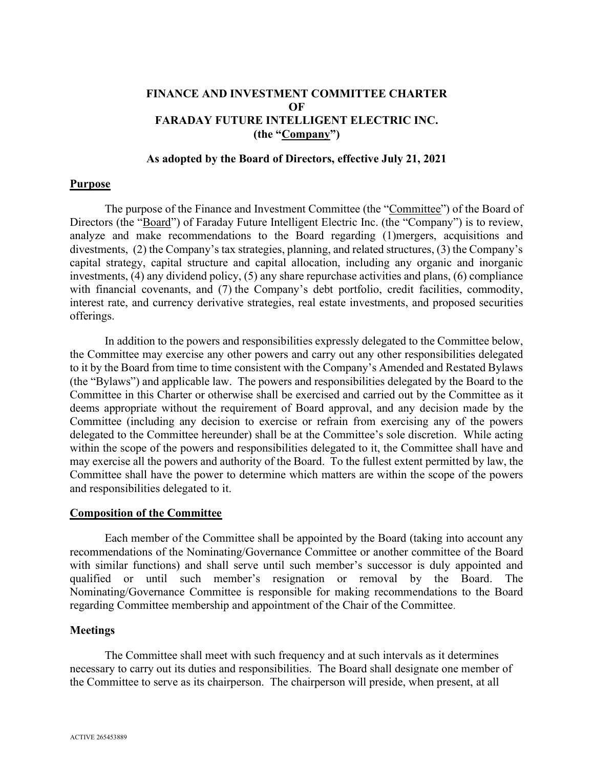## FINANCE AND INVESTMENT COMMITTEE CHARTER OF FARADAY FUTURE INTELLIGENT ELECTRIC INC. (the "Company")

### As adopted by the Board of Directors, effective July 21, 2021

#### Purpose

The purpose of the Finance and Investment Committee (the "Committee") of the Board of Directors (the "Board") of Faraday Future Intelligent Electric Inc. (the "Company") is to review, analyze and make recommendations to the Board regarding (1)mergers, acquisitions and divestments, (2) the Company's tax strategies, planning, and related structures, (3) the Company's capital strategy, capital structure and capital allocation, including any organic and inorganic investments, (4) any dividend policy, (5) any share repurchase activities and plans, (6) compliance with financial covenants, and (7) the Company's debt portfolio, credit facilities, commodity, interest rate, and currency derivative strategies, real estate investments, and proposed securities offerings.

In addition to the powers and responsibilities expressly delegated to the Committee below, the Committee may exercise any other powers and carry out any other responsibilities delegated to it by the Board from time to time consistent with the Company's Amended and Restated Bylaws (the "Bylaws") and applicable law. The powers and responsibilities delegated by the Board to the Committee in this Charter or otherwise shall be exercised and carried out by the Committee as it deems appropriate without the requirement of Board approval, and any decision made by the Committee (including any decision to exercise or refrain from exercising any of the powers delegated to the Committee hereunder) shall be at the Committee's sole discretion. While acting within the scope of the powers and responsibilities delegated to it, the Committee shall have and may exercise all the powers and authority of the Board. To the fullest extent permitted by law, the Committee shall have the power to determine which matters are within the scope of the powers and responsibilities delegated to it.

#### Composition of the Committee

Each member of the Committee shall be appointed by the Board (taking into account any recommendations of the Nominating/Governance Committee or another committee of the Board with similar functions) and shall serve until such member's successor is duly appointed and qualified or until such member's resignation or removal by the Board. The Nominating/Governance Committee is responsible for making recommendations to the Board regarding Committee membership and appointment of the Chair of the Committee.

#### Meetings

The Committee shall meet with such frequency and at such intervals as it determines necessary to carry out its duties and responsibilities. The Board shall designate one member of the Committee to serve as its chairperson. The chairperson will preside, when present, at all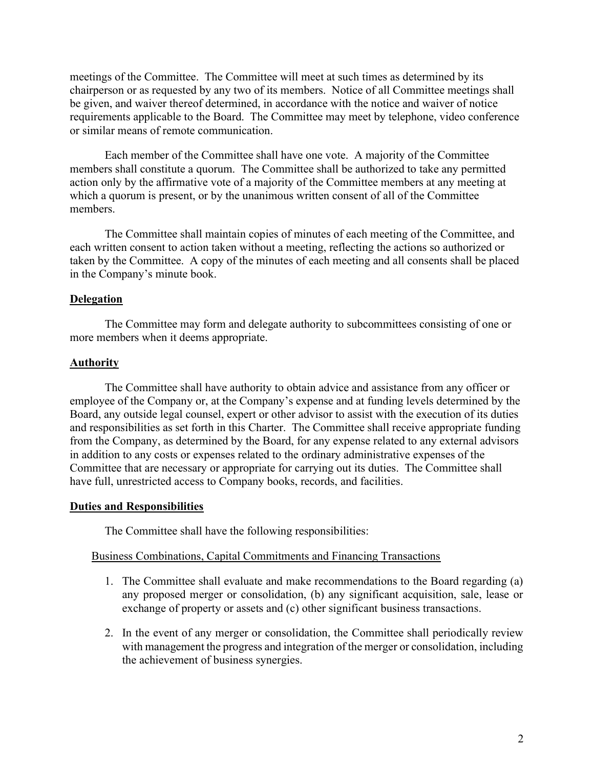meetings of the Committee. The Committee will meet at such times as determined by its chairperson or as requested by any two of its members. Notice of all Committee meetings shall be given, and waiver thereof determined, in accordance with the notice and waiver of notice requirements applicable to the Board. The Committee may meet by telephone, video conference or similar means of remote communication.

Each member of the Committee shall have one vote. A majority of the Committee members shall constitute a quorum. The Committee shall be authorized to take any permitted action only by the affirmative vote of a majority of the Committee members at any meeting at which a quorum is present, or by the unanimous written consent of all of the Committee members.

The Committee shall maintain copies of minutes of each meeting of the Committee, and each written consent to action taken without a meeting, reflecting the actions so authorized or taken by the Committee. A copy of the minutes of each meeting and all consents shall be placed in the Company's minute book.

## Delegation

The Committee may form and delegate authority to subcommittees consisting of one or more members when it deems appropriate.

### Authority

The Committee shall have authority to obtain advice and assistance from any officer or employee of the Company or, at the Company's expense and at funding levels determined by the Board, any outside legal counsel, expert or other advisor to assist with the execution of its duties and responsibilities as set forth in this Charter. The Committee shall receive appropriate funding from the Company, as determined by the Board, for any expense related to any external advisors in addition to any costs or expenses related to the ordinary administrative expenses of the Committee that are necessary or appropriate for carrying out its duties. The Committee shall have full, unrestricted access to Company books, records, and facilities.

### Duties and Responsibilities

The Committee shall have the following responsibilities:

### Business Combinations, Capital Commitments and Financing Transactions

- 1. The Committee shall evaluate and make recommendations to the Board regarding (a) any proposed merger or consolidation, (b) any significant acquisition, sale, lease or exchange of property or assets and (c) other significant business transactions.
- 2. In the event of any merger or consolidation, the Committee shall periodically review with management the progress and integration of the merger or consolidation, including the achievement of business synergies.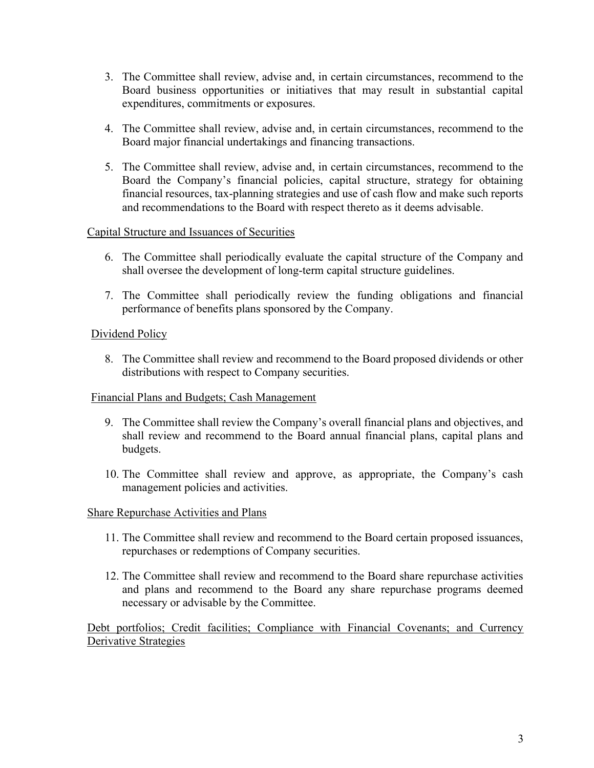- 3. The Committee shall review, advise and, in certain circumstances, recommend to the Board business opportunities or initiatives that may result in substantial capital expenditures, commitments or exposures.
- 4. The Committee shall review, advise and, in certain circumstances, recommend to the Board major financial undertakings and financing transactions.
- 5. The Committee shall review, advise and, in certain circumstances, recommend to the Board the Company's financial policies, capital structure, strategy for obtaining financial resources, tax-planning strategies and use of cash flow and make such reports and recommendations to the Board with respect thereto as it deems advisable.

## Capital Structure and Issuances of Securities

- 6. The Committee shall periodically evaluate the capital structure of the Company and shall oversee the development of long-term capital structure guidelines.
- 7. The Committee shall periodically review the funding obligations and financial performance of benefits plans sponsored by the Company.

# Dividend Policy

8. The Committee shall review and recommend to the Board proposed dividends or other distributions with respect to Company securities.

## Financial Plans and Budgets; Cash Management

- 9. The Committee shall review the Company's overall financial plans and objectives, and shall review and recommend to the Board annual financial plans, capital plans and budgets.
- 10. The Committee shall review and approve, as appropriate, the Company's cash management policies and activities.

# Share Repurchase Activities and Plans

- 11. The Committee shall review and recommend to the Board certain proposed issuances, repurchases or redemptions of Company securities.
- 12. The Committee shall review and recommend to the Board share repurchase activities and plans and recommend to the Board any share repurchase programs deemed necessary or advisable by the Committee.

Debt portfolios; Credit facilities; Compliance with Financial Covenants; and Currency Derivative Strategies